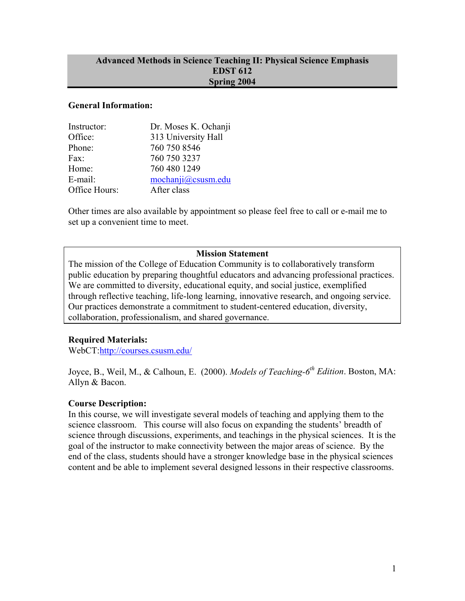#### **Advanced Methods in Science Teaching II: Physical Science Emphasis EDST 612 Spring 2004**

#### **General Information:**

| Instructor:   | Dr. Moses K. Ochanji |
|---------------|----------------------|
| Office:       | 313 University Hall  |
| Phone:        | 760 750 8546         |
| Fax:          | 760 750 3237         |
| Home:         | 760 480 1249         |
| E-mail:       | mochanji@csusm.edu   |
| Office Hours: | After class          |

Other times are also available by appointment so please feel free to call or e-mail me to set up a convenient time to meet.

## **Mission Statement**

The mission of the College of Education Community is to collaboratively transform public education by preparing thoughtful educators and advancing professional practices. We are committed to diversity, educational equity, and social justice, exemplified through reflective teaching, life-long learning, innovative research, and ongoing service. Our practices demonstrate a commitment to student-centered education, diversity, collaboration, professionalism, and shared governance.

#### **Required Materials:**

WebCT:http://courses.csusm.edu/

Joyce, B., Weil, M., & Calhoun, E. (2000). *Models of Teaching-6th Edition*. Boston, MA: Allyn & Bacon.

#### **Course Description:**

In this course, we will investigate several models of teaching and applying them to the science classroom. This course will also focus on expanding the students' breadth of science through discussions, experiments, and teachings in the physical sciences. It is the goal of the instructor to make connectivity between the major areas of science. By the end of the class, students should have a stronger knowledge base in the physical sciences content and be able to implement several designed lessons in their respective classrooms.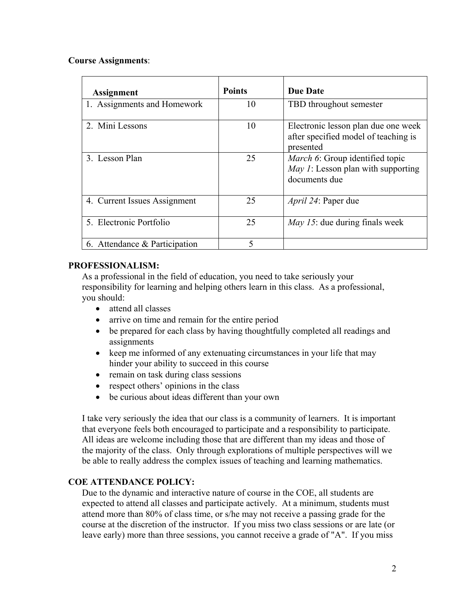# **Course Assignments**:

| <b>Assignment</b>             | <b>Points</b> | <b>Due Date</b>                                                                                       |
|-------------------------------|---------------|-------------------------------------------------------------------------------------------------------|
| 1. Assignments and Homework   | 10            | TBD throughout semester                                                                               |
| 2. Mini Lessons               | 10            | Electronic lesson plan due one week<br>after specified model of teaching is<br>presented              |
| 3. Lesson Plan                | 25            | <i>March 6:</i> Group identified topic<br><i>May 1</i> : Lesson plan with supporting<br>documents due |
| 4. Current Issues Assignment  | 25            | <i>April 24</i> : Paper due                                                                           |
| 5. Electronic Portfolio       | 25            | <i>May 15:</i> due during finals week                                                                 |
| 6. Attendance & Participation | 5             |                                                                                                       |

## **PROFESSIONALISM:**

As a professional in the field of education, you need to take seriously your responsibility for learning and helping others learn in this class. As a professional, you should:

- attend all classes
- arrive on time and remain for the entire period
- be prepared for each class by having thoughtfully completed all readings and assignments
- keep me informed of any extenuating circumstances in your life that may hinder your ability to succeed in this course
- remain on task during class sessions
- respect others' opinions in the class
- be curious about ideas different than your own

I take very seriously the idea that our class is a community of learners. It is important that everyone feels both encouraged to participate and a responsibility to participate. All ideas are welcome including those that are different than my ideas and those of the majority of the class. Only through explorations of multiple perspectives will we be able to really address the complex issues of teaching and learning mathematics.

# **COE ATTENDANCE POLICY:**

Due to the dynamic and interactive nature of course in the COE, all students are expected to attend all classes and participate actively. At a minimum, students must attend more than 80% of class time, or s/he may not receive a passing grade for the course at the discretion of the instructor. If you miss two class sessions or are late (or leave early) more than three sessions, you cannot receive a grade of "A". If you miss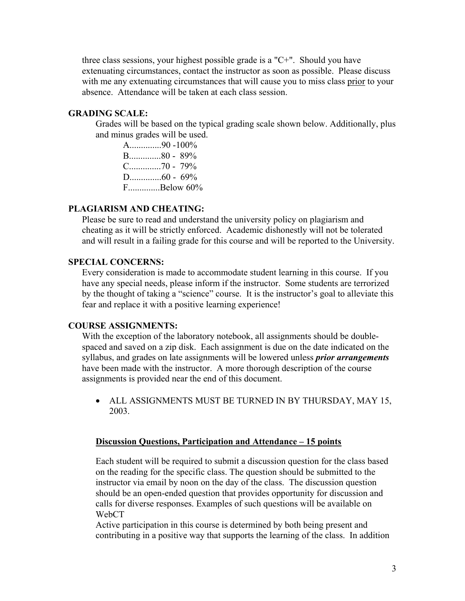three class sessions, your highest possible grade is a "C+". Should you have extenuating circumstances, contact the instructor as soon as possible. Please discuss with me any extenuating circumstances that will cause you to miss class prior to your absence. Attendance will be taken at each class session.

# **GRADING SCALE:**

Grades will be based on the typical grading scale shown below. Additionally, plus and minus grades will be used.

A..............90 -100% B..............80 - 89% C..............70 - 79% D..............60 - 69% F..............Below 60%

# **PLAGIARISM AND CHEATING:**

Please be sure to read and understand the university policy on plagiarism and cheating as it will be strictly enforced. Academic dishonestly will not be tolerated and will result in a failing grade for this course and will be reported to the University.

# **SPECIAL CONCERNS:**

Every consideration is made to accommodate student learning in this course. If you have any special needs, please inform if the instructor. Some students are terrorized by the thought of taking a "science" course. It is the instructor's goal to alleviate this fear and replace it with a positive learning experience!

#### **COURSE ASSIGNMENTS:**

With the exception of the laboratory notebook, all assignments should be doublespaced and saved on a zip disk. Each assignment is due on the date indicated on the syllabus, and grades on late assignments will be lowered unless *prior arrangements* have been made with the instructor. A more thorough description of the course assignments is provided near the end of this document.

• ALL ASSIGNMENTS MUST BE TURNED IN BY THURSDAY, MAY 15, 2003.

# **Discussion Questions, Participation and Attendance – 15 points**

Each student will be required to submit a discussion question for the class based on the reading for the specific class. The question should be submitted to the instructor via email by noon on the day of the class. The discussion question should be an open-ended question that provides opportunity for discussion and calls for diverse responses. Examples of such questions will be available on WebCT

Active participation in this course is determined by both being present and contributing in a positive way that supports the learning of the class. In addition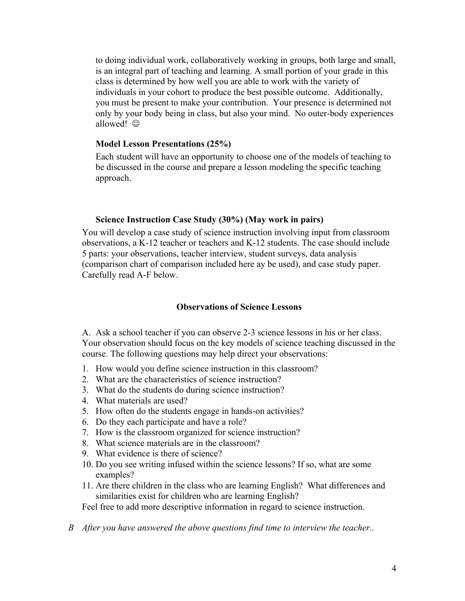to doing individual work, collaboratively working in groups, both large and small, is an integral part of teaching and learning. A small portion of your grade in this class is determined by how well you are able to work with the variety of individuals in your cohort to produce the best possible outcome. Additionally, you must be present to make your contribution. Your presence is determined not only by your body being in class, but also your mind. No outer-body experiences allowed! ©

#### **Model Lesson Presentations (25%)**

Each student will have an opportunity to choose one of the models of teaching to be discussed in the course and prepare a lesson modeling the specific teaching approach.

#### **Science Instruction Case Study (30%) (May work in pairs)**

You will develop a case study of science instruction involving input from classroom observations, a K-12 teacher or teachers and K-12 students. The case should include 5 parts: your observations, teacher interview, student surveys, data analysis (comparison chart of comparison included here ay be used), and case study paper. Carefully read A-F below.

## **Observations of Science Lessons**

A. Ask a school teacher if you can observe 2-3 science lessons in his or her class. Your observation should focus on the key models of science teaching discussed in the course. The following questions may help direct your observations:

- 1. How would you define science instruction in this classroom?
- 2. What are the characteristics of science instruction?
- 3. What do the students do during science instruction?
- 4. What materials are used?
- 5. How often do the students engage in hands-on activities?
- 6. Do they each participate and have a role?
- 7. How is the classroom organized for science instruction?
- 8. What science materials are in the classroom?
- 9. What evidence is there of science?
- 10. Do you see writing infused within the science lessons? If so, what are some examples?
- 11. Are there children in the class who are learning English? What differences and similarities exist for children who are learning English?

Feel free to add more descriptive information in regard to science instruction.

*B After you have answered the above questions find time to interview the teacher..*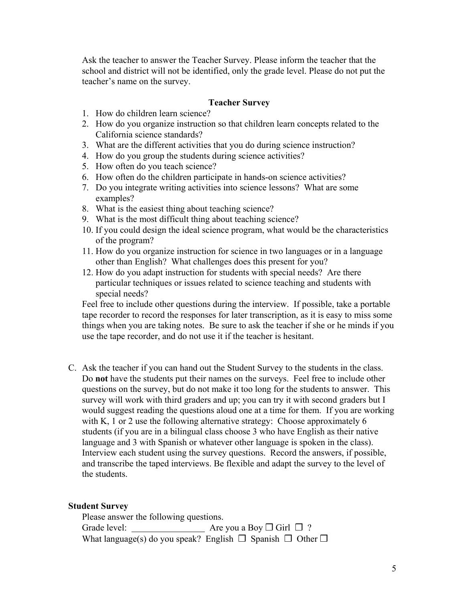Ask the teacher to answer the Teacher Survey. Please inform the teacher that the school and district will not be identified, only the grade level. Please do not put the teacher's name on the survey.

#### **Teacher Survey**

- 1. How do children learn science?
- 2. How do you organize instruction so that children learn concepts related to the California science standards?
- 3. What are the different activities that you do during science instruction?
- 4. How do you group the students during science activities?
- 5. How often do you teach science?
- 6. How often do the children participate in hands-on science activities?
- 7. Do you integrate writing activities into science lessons? What are some examples?
- 8. What is the easiest thing about teaching science?
- 9. What is the most difficult thing about teaching science?
- 10. If you could design the ideal science program, what would be the characteristics of the program?
- 11. How do you organize instruction for science in two languages or in a language other than English? What challenges does this present for you?
- 12. How do you adapt instruction for students with special needs? Are there particular techniques or issues related to science teaching and students with special needs?

Feel free to include other questions during the interview. If possible, take a portable tape recorder to record the responses for later transcription, as it is easy to miss some things when you are taking notes. Be sure to ask the teacher if she or he minds if you use the tape recorder, and do not use it if the teacher is hesitant.

C. Ask the teacher if you can hand out the Student Survey to the students in the class. Do **not** have the students put their names on the surveys. Feel free to include other questions on the survey, but do not make it too long for the students to answer. This survey will work with third graders and up; you can try it with second graders but I would suggest reading the questions aloud one at a time for them. If you are working with K, 1 or 2 use the following alternative strategy: Choose approximately 6 students (if you are in a bilingual class choose 3 who have English as their native language and 3 with Spanish or whatever other language is spoken in the class). Interview each student using the survey questions. Record the answers, if possible, and transcribe the taped interviews. Be flexible and adapt the survey to the level of the students.

#### **Student Survey**

Please answer the following questions. Grade level:  $\triangleleft$  Are you a Boy  $\Box$  Girl  $\Box$  ? What language(s) do you speak? English  $\Box$  Spanish  $\Box$  Other  $\Box$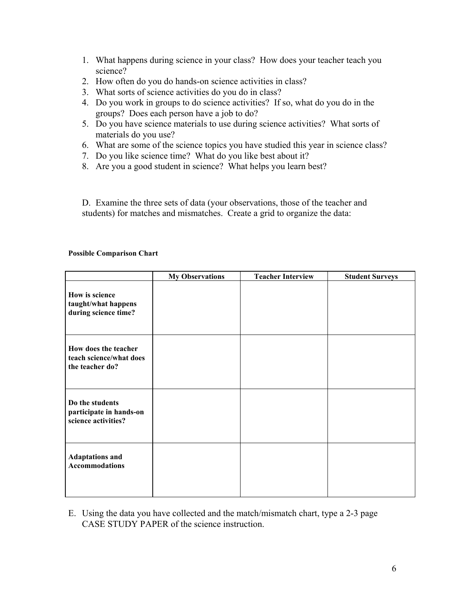- 1. What happens during science in your class? How does your teacher teach you science?
- 2. How often do you do hands-on science activities in class?
- 3. What sorts of science activities do you do in class?
- 4. Do you work in groups to do science activities? If so, what do you do in the groups? Does each person have a job to do?
- 5. Do you have science materials to use during science activities? What sorts of materials do you use?
- 6. What are some of the science topics you have studied this year in science class?
- 7. Do you like science time? What do you like best about it?
- 8. Are you a good student in science? What helps you learn best?

D. Examine the three sets of data (your observations, those of the teacher and students) for matches and mismatches. Create a grid to organize the data:

#### **Possible Comparison Chart**

|                                                                    | <b>My Observations</b> | <b>Teacher Interview</b> | <b>Student Surveys</b> |
|--------------------------------------------------------------------|------------------------|--------------------------|------------------------|
| How is science<br>taught/what happens<br>during science time?      |                        |                          |                        |
| How does the teacher<br>teach science/what does<br>the teacher do? |                        |                          |                        |
| Do the students<br>participate in hands-on<br>science activities?  |                        |                          |                        |
| <b>Adaptations and</b><br><b>Accommodations</b>                    |                        |                          |                        |

E. Using the data you have collected and the match/mismatch chart, type a 2-3 page CASE STUDY PAPER of the science instruction.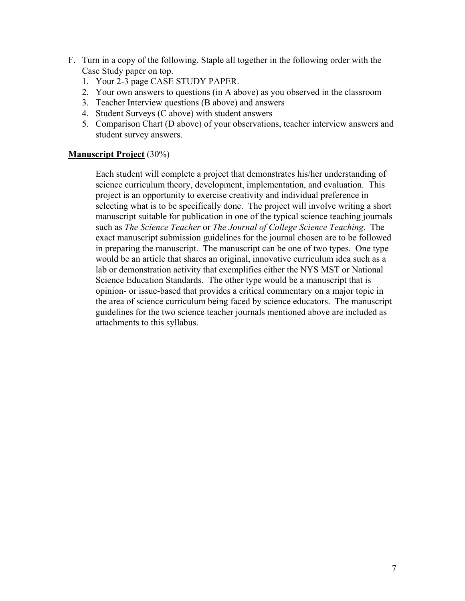- F. Turn in a copy of the following. Staple all together in the following order with the Case Study paper on top.
	- 1. Your 2-3 page CASE STUDY PAPER.
	- 2. Your own answers to questions (in A above) as you observed in the classroom
	- 3. Teacher Interview questions (B above) and answers
	- 4. Student Surveys (C above) with student answers
	- 5. Comparison Chart (D above) of your observations, teacher interview answers and student survey answers.

## **Manuscript Project** (30%)

Each student will complete a project that demonstrates his/her understanding of science curriculum theory, development, implementation, and evaluation. This project is an opportunity to exercise creativity and individual preference in selecting what is to be specifically done. The project will involve writing a short manuscript suitable for publication in one of the typical science teaching journals such as *The Science Teacher* or *The Journal of College Science Teaching*. The exact manuscript submission guidelines for the journal chosen are to be followed in preparing the manuscript. The manuscript can be one of two types. One type would be an article that shares an original, innovative curriculum idea such as a lab or demonstration activity that exemplifies either the NYS MST or National Science Education Standards. The other type would be a manuscript that is opinion- or issue-based that provides a critical commentary on a major topic in the area of science curriculum being faced by science educators. The manuscript guidelines for the two science teacher journals mentioned above are included as attachments to this syllabus.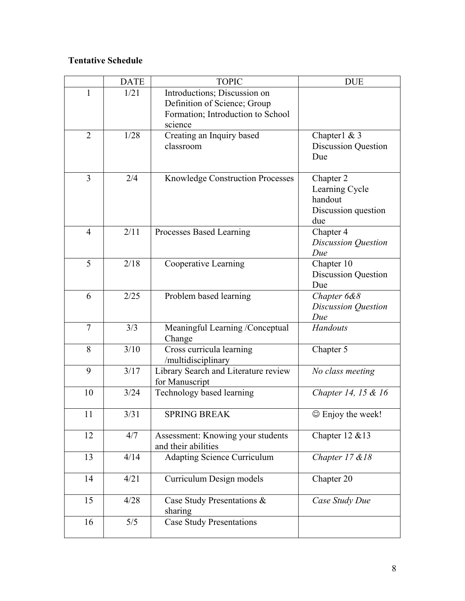# **Tentative Schedule**

|                | <b>DATE</b> | <b>TOPIC</b>                                                                                                 | <b>DUE</b>                                                           |
|----------------|-------------|--------------------------------------------------------------------------------------------------------------|----------------------------------------------------------------------|
| $\mathbf{1}$   | 1/21        | Introductions; Discussion on<br>Definition of Science; Group<br>Formation; Introduction to School<br>science |                                                                      |
| $\overline{2}$ | 1/28        | Creating an Inquiry based<br>classroom                                                                       | Chapter $1 \& 3$<br><b>Discussion Question</b><br>Due                |
| 3              | 2/4         | Knowledge Construction Processes                                                                             | Chapter 2<br>Learning Cycle<br>handout<br>Discussion question<br>due |
| $\overline{4}$ | 2/11        | Processes Based Learning                                                                                     | Chapter 4<br>Discussion Question<br>Due                              |
| 5              | 2/18        | Cooperative Learning                                                                                         | Chapter 10<br><b>Discussion Question</b><br>Due                      |
| 6              | 2/25        | Problem based learning                                                                                       | Chapter 6&8<br>Discussion Question<br>Due                            |
| $\overline{7}$ | 3/3         | Meaningful Learning /Conceptual<br>Change                                                                    | Handouts                                                             |
| 8              | 3/10        | Cross curricula learning<br>/multidisciplinary                                                               | Chapter 5                                                            |
| 9              | 3/17        | Library Search and Literature review<br>for Manuscript                                                       | No class meeting                                                     |
| 10             | 3/24        | Technology based learning                                                                                    | Chapter 14, 15 & 16                                                  |
| 11             | 3/31        | <b>SPRING BREAK</b>                                                                                          | © Enjoy the week!                                                    |
| 12             | 4/7         | Assessment: Knowing your students<br>and their abilities                                                     | Chapter $12 \& 13$                                                   |
| 13             | 4/14        | <b>Adapting Science Curriculum</b>                                                                           | Chapter 17 & 18                                                      |
| 14             | 4/21        | Curriculum Design models                                                                                     | Chapter 20                                                           |
| 15             | 4/28        | Case Study Presentations &<br>sharing                                                                        | Case Study Due                                                       |
| 16             | 5/5         | <b>Case Study Presentations</b>                                                                              |                                                                      |